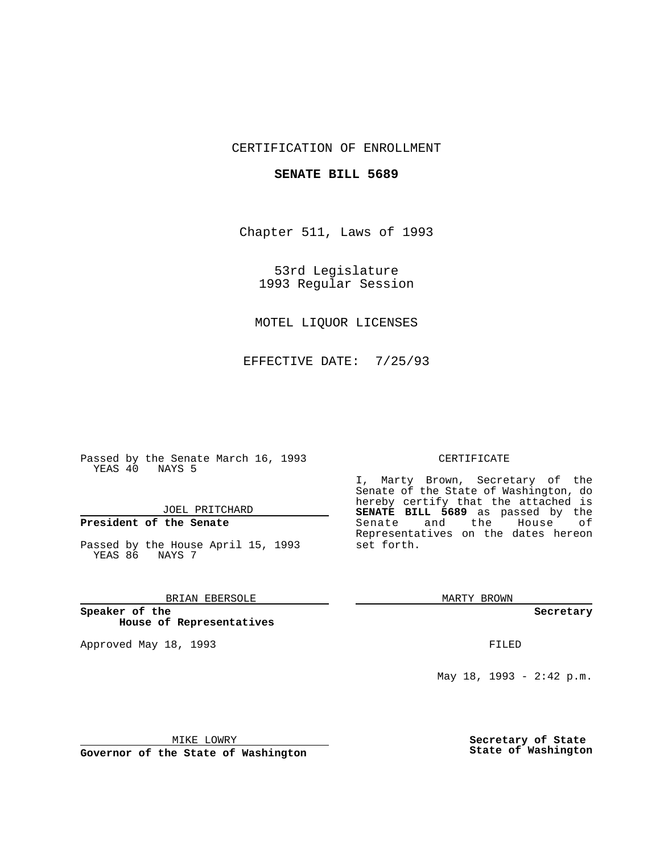### CERTIFICATION OF ENROLLMENT

### **SENATE BILL 5689**

Chapter 511, Laws of 1993

53rd Legislature 1993 Regular Session

### MOTEL LIQUOR LICENSES

EFFECTIVE DATE: 7/25/93

Passed by the Senate March 16, 1993 YEAS 40 NAYS 5

### JOEL PRITCHARD

# **President of the Senate**

Passed by the House April 15, 1993 YEAS 86 NAYS 7

### BRIAN EBERSOLE

**Speaker of the House of Representatives**

Approved May 18, 1993 **FILED** 

#### CERTIFICATE

I, Marty Brown, Secretary of the Senate of the State of Washington, do hereby certify that the attached is **SENATE BILL 5689** as passed by the Senate and the House of Representatives on the dates hereon set forth.

MARTY BROWN

**Secretary**

May 18, 1993 - 2:42 p.m.

MIKE LOWRY

**Governor of the State of Washington**

**Secretary of State State of Washington**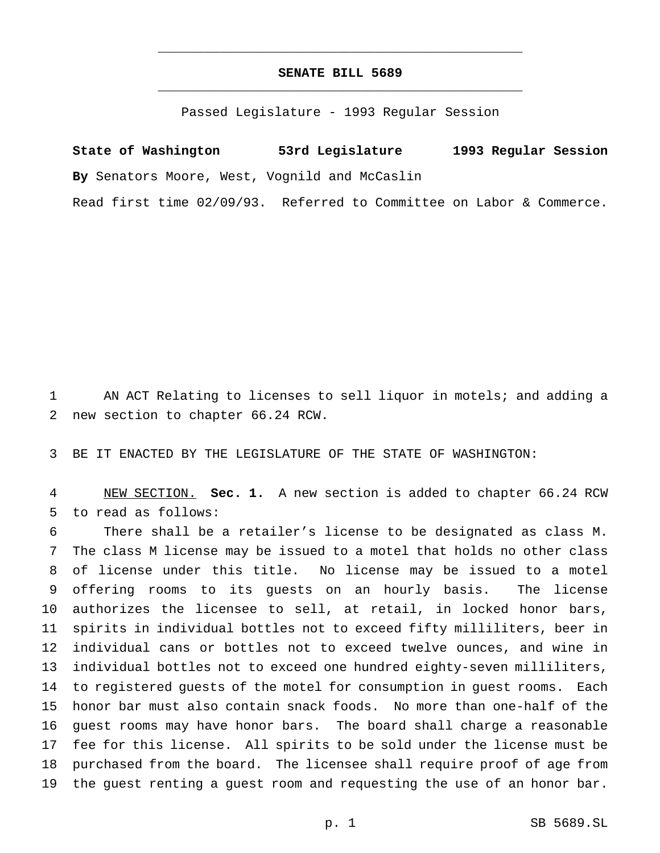## **SENATE BILL 5689** \_\_\_\_\_\_\_\_\_\_\_\_\_\_\_\_\_\_\_\_\_\_\_\_\_\_\_\_\_\_\_\_\_\_\_\_\_\_\_\_\_\_\_\_\_\_\_

\_\_\_\_\_\_\_\_\_\_\_\_\_\_\_\_\_\_\_\_\_\_\_\_\_\_\_\_\_\_\_\_\_\_\_\_\_\_\_\_\_\_\_\_\_\_\_

Passed Legislature - 1993 Regular Session

**State of Washington 53rd Legislature 1993 Regular Session By** Senators Moore, West, Vognild and McCaslin

Read first time 02/09/93. Referred to Committee on Labor & Commerce.

 AN ACT Relating to licenses to sell liquor in motels; and adding a new section to chapter 66.24 RCW.

BE IT ENACTED BY THE LEGISLATURE OF THE STATE OF WASHINGTON:

 NEW SECTION. **Sec. 1.** A new section is added to chapter 66.24 RCW to read as follows:

 There shall be a retailer's license to be designated as class M. The class M license may be issued to a motel that holds no other class of license under this title. No license may be issued to a motel offering rooms to its guests on an hourly basis. The license authorizes the licensee to sell, at retail, in locked honor bars, spirits in individual bottles not to exceed fifty milliliters, beer in individual cans or bottles not to exceed twelve ounces, and wine in individual bottles not to exceed one hundred eighty-seven milliliters, to registered guests of the motel for consumption in guest rooms. Each honor bar must also contain snack foods. No more than one-half of the guest rooms may have honor bars. The board shall charge a reasonable fee for this license. All spirits to be sold under the license must be purchased from the board. The licensee shall require proof of age from the guest renting a guest room and requesting the use of an honor bar.